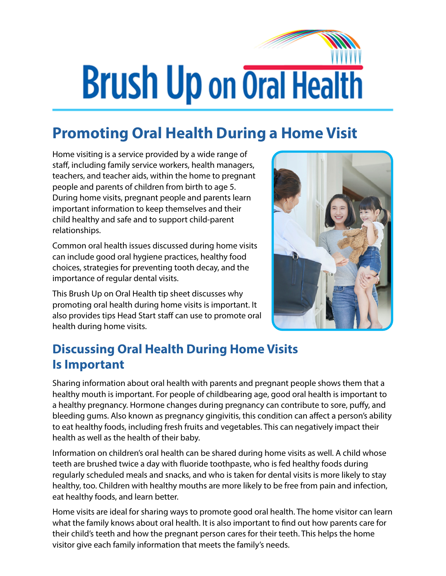## **Brush Up on Oral Health**

## **Promoting Oral Health During a Home Visit**

Home visiting is a service provided by a wide range of staff, including family service workers, health managers, teachers, and teacher aids, within the home to pregnant people and parents of children from birth to age 5. During home visits, pregnant people and parents learn important information to keep themselves and their child healthy and safe and to support child-parent relationships.

Common oral health issues discussed during home visits can include good oral hygiene practices, healthy food choices, strategies for preventing tooth decay, and the importance of regular dental visits.

This Brush Up on Oral Health tip sheet discusses why promoting oral health during home visits is important. It also provides tips Head Start staff can use to promote oral health during home visits.



## **Discussing Oral Health During Home Visits Is Important**

Sharing information about oral health with parents and pregnant people shows them that a healthy mouth is important. For people of childbearing age, good oral health is important to a healthy pregnancy. Hormone changes during pregnancy can contribute to sore, puffy, and bleeding gums. Also known as pregnancy gingivitis, this condition can affect a person's ability to eat healthy foods, including fresh fruits and vegetables. This can negatively impact their health as well as the health of their baby.

Information on children's oral health can be shared during home visits as well. A child whose teeth are brushed twice a day with fluoride toothpaste, who is fed healthy foods during regularly scheduled meals and snacks, and who is taken for dental visits is more likely to stay healthy, too. Children with healthy mouths are more likely to be free from pain and infection, eat healthy foods, and learn better.

Home visits are ideal for sharing ways to promote good oral health. The home visitor can learn what the family knows about oral health. It is also important to find out how parents care for their child's teeth and how the pregnant person cares for their teeth. This helps the home visitor give each family information that meets the family's needs.